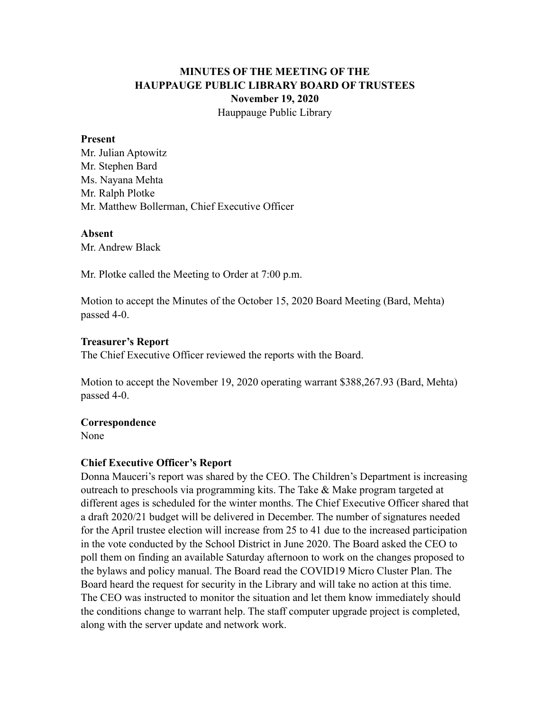# **MINUTES OF THE MEETING OF THE HAUPPAUGE PUBLIC LIBRARY BOARD OF TRUSTEES November 19, 2020** Hauppauge Public Library

#### **Present**

Mr. Julian Aptowitz Mr. Stephen Bard Ms. Nayana Mehta Mr. Ralph Plotke Mr. Matthew Bollerman, Chief Executive Officer

#### **Absent**

Mr. Andrew Black

Mr. Plotke called the Meeting to Order at 7:00 p.m.

Motion to accept the Minutes of the October 15, 2020 Board Meeting (Bard, Mehta) passed 4-0.

## **Treasurer's Report**

The Chief Executive Officer reviewed the reports with the Board.

Motion to accept the November 19, 2020 operating warrant \$388,267.93 (Bard, Mehta) passed 4-0.

## **Correspondence**

None

## **Chief Executive Officer's Report**

Donna Mauceri's report was shared by the CEO. The Children's Department is increasing outreach to preschools via programming kits. The Take & Make program targeted at different ages is scheduled for the winter months. The Chief Executive Officer shared that a draft 2020/21 budget will be delivered in December. The number of signatures needed for the April trustee election will increase from 25 to 41 due to the increased participation in the vote conducted by the School District in June 2020. The Board asked the CEO to poll them on finding an available Saturday afternoon to work on the changes proposed to the bylaws and policy manual. The Board read the COVID19 Micro Cluster Plan. The Board heard the request for security in the Library and will take no action at this time. The CEO was instructed to monitor the situation and let them know immediately should the conditions change to warrant help. The staff computer upgrade project is completed, along with the server update and network work.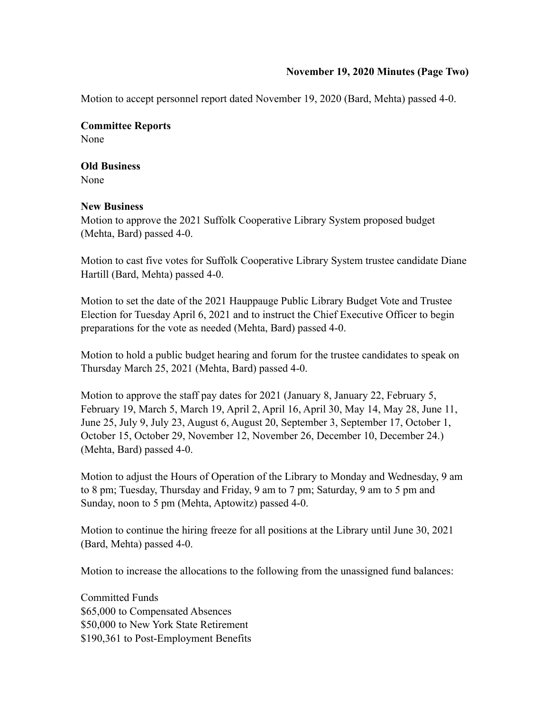## **November 19, 2020 Minutes (Page Two)**

Motion to accept personnel report dated November 19, 2020 (Bard, Mehta) passed 4-0.

**Committee Reports**  None

**Old Business**  None

## **New Business**

Motion to approve the 2021 Suffolk Cooperative Library System proposed budget (Mehta, Bard) passed 4-0.

Motion to cast five votes for Suffolk Cooperative Library System trustee candidate Diane Hartill (Bard, Mehta) passed 4-0.

Motion to set the date of the 2021 Hauppauge Public Library Budget Vote and Trustee Election for Tuesday April 6, 2021 and to instruct the Chief Executive Officer to begin preparations for the vote as needed (Mehta, Bard) passed 4-0.

Motion to hold a public budget hearing and forum for the trustee candidates to speak on Thursday March 25, 2021 (Mehta, Bard) passed 4-0.

Motion to approve the staff pay dates for 2021 (January 8, January 22, February 5, February 19, March 5, March 19, April 2, April 16, April 30, May 14, May 28, June 11, June 25, July 9, July 23, August 6, August 20, September 3, September 17, October 1, October 15, October 29, November 12, November 26, December 10, December 24.) (Mehta, Bard) passed 4-0.

Motion to adjust the Hours of Operation of the Library to Monday and Wednesday, 9 am to 8 pm; Tuesday, Thursday and Friday, 9 am to 7 pm; Saturday, 9 am to 5 pm and Sunday, noon to 5 pm (Mehta, Aptowitz) passed 4-0.

Motion to continue the hiring freeze for all positions at the Library until June 30, 2021 (Bard, Mehta) passed 4-0.

Motion to increase the allocations to the following from the unassigned fund balances:

Committed Funds \$65,000 to Compensated Absences \$50,000 to New York State Retirement \$190,361 to Post-Employment Benefits